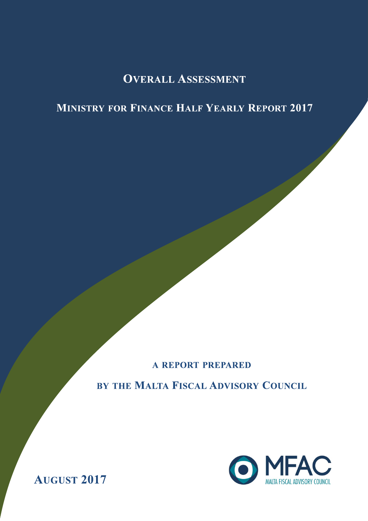# **OVERALL ASSESSMENT**

# **MINISTRY FOR FINANCE HALF YEARLY REPORT 2017**

A REPORT PREPARED

BY THE MALTA FISCAL ADVISORY COUNCIL



**AUGUST 2017**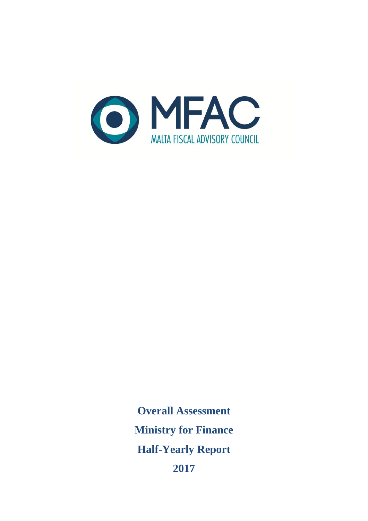

**Overall Assessment Ministry for Finance Half-Yearly Report 2017**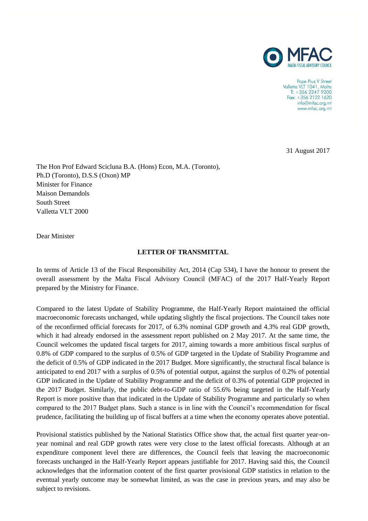

Pope Pius V Street Valletta VLT 1041, Malta  $T: +35622479200$ Fax: +356 2122 1620 info@mfac.org.mt www.mfac.org.mt

31 August 2017

The Hon Prof Edward Scicluna B.A. (Hons) Econ, M.A. (Toronto), Ph.D (Toronto), D.S.S (Oxon) MP Minister for Finance Maison Demandols South Street Valletta VLT 2000

Dear Minister

#### **LETTER OF TRANSMITTAL**

In terms of Article 13 of the Fiscal Responsibility Act, 2014 (Cap 534), I have the honour to present the overall assessment by the Malta Fiscal Advisory Council (MFAC) of the 2017 Half-Yearly Report prepared by the Ministry for Finance.

Compared to the latest Update of Stability Programme, the Half-Yearly Report maintained the official macroeconomic forecasts unchanged, while updating slightly the fiscal projections. The Council takes note of the reconfirmed official forecasts for 2017, of 6.3% nominal GDP growth and 4.3% real GDP growth, which it had already endorsed in the assessment report published on 2 May 2017. At the same time, the Council welcomes the updated fiscal targets for 2017, aiming towards a more ambitious fiscal surplus of 0.8% of GDP compared to the surplus of 0.5% of GDP targeted in the Update of Stability Programme and the deficit of 0.5% of GDP indicated in the 2017 Budget. More significantly, the structural fiscal balance is anticipated to end 2017 with a surplus of 0.5% of potential output, against the surplus of 0.2% of potential GDP indicated in the Update of Stability Programme and the deficit of 0.3% of potential GDP projected in the 2017 Budget. Similarly, the public debt-to-GDP ratio of 55.6% being targeted in the Half-Yearly Report is more positive than that indicated in the Update of Stability Programme and particularly so when compared to the 2017 Budget plans. Such a stance is in line with the Council's recommendation for fiscal prudence, facilitating the building up of fiscal buffers at a time when the economy operates above potential.

Provisional statistics published by the National Statistics Office show that, the actual first quarter year-onyear nominal and real GDP growth rates were very close to the latest official forecasts. Although at an expenditure component level there are differences, the Council feels that leaving the macroeconomic forecasts unchanged in the Half-Yearly Report appears justifiable for 2017. Having said this, the Council acknowledges that the information content of the first quarter provisional GDP statistics in relation to the eventual yearly outcome may be somewhat limited, as was the case in previous years, and may also be subject to revisions.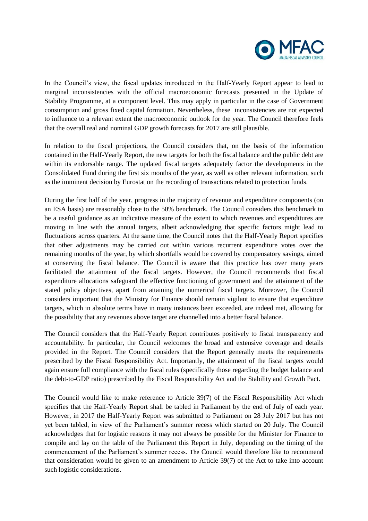

In the Council's view, the fiscal updates introduced in the Half-Yearly Report appear to lead to marginal inconsistencies with the official macroeconomic forecasts presented in the Update of Stability Programme, at a component level. This may apply in particular in the case of Government consumption and gross fixed capital formation. Nevertheless, these inconsistencies are not expected to influence to a relevant extent the macroeconomic outlook for the year. The Council therefore feels that the overall real and nominal GDP growth forecasts for 2017 are still plausible.

In relation to the fiscal projections, the Council considers that, on the basis of the information contained in the Half-Yearly Report, the new targets for both the fiscal balance and the public debt are within its endorsable range. The updated fiscal targets adequately factor the developments in the Consolidated Fund during the first six months of the year, as well as other relevant information, such as the imminent decision by Eurostat on the recording of transactions related to protection funds.

During the first half of the year, progress in the majority of revenue and expenditure components (on an ESA basis) are reasonably close to the 50% benchmark. The Council considers this benchmark to be a useful guidance as an indicative measure of the extent to which revenues and expenditures are moving in line with the annual targets, albeit acknowledging that specific factors might lead to fluctuations across quarters. At the same time, the Council notes that the Half-Yearly Report specifies that other adjustments may be carried out within various recurrent expenditure votes over the remaining months of the year, by which shortfalls would be covered by compensatory savings, aimed at conserving the fiscal balance. The Council is aware that this practice has over many years facilitated the attainment of the fiscal targets. However, the Council recommends that fiscal expenditure allocations safeguard the effective functioning of government and the attainment of the stated policy objectives, apart from attaining the numerical fiscal targets. Moreover, the Council considers important that the Ministry for Finance should remain vigilant to ensure that expenditure targets, which in absolute terms have in many instances been exceeded, are indeed met, allowing for the possibility that any revenues above target are channelled into a better fiscal balance.

The Council considers that the Half-Yearly Report contributes positively to fiscal transparency and accountability. In particular, the Council welcomes the broad and extensive coverage and details provided in the Report. The Council considers that the Report generally meets the requirements prescribed by the Fiscal Responsibility Act. Importantly, the attainment of the fiscal targets would again ensure full compliance with the fiscal rules (specifically those regarding the budget balance and the debt-to-GDP ratio) prescribed by the Fiscal Responsibility Act and the Stability and Growth Pact.

The Council would like to make reference to Article 39(7) of the Fiscal Responsibility Act which specifies that the Half-Yearly Report shall be tabled in Parliament by the end of July of each year. However, in 2017 the Half-Yearly Report was submitted to Parliament on 28 July 2017 but has not yet been tabled, in view of the Parliament's summer recess which started on 20 July. The Council acknowledges that for logistic reasons it may not always be possible for the Minister for Finance to compile and lay on the table of the Parliament this Report in July, depending on the timing of the commencement of the Parliament's summer recess. The Council would therefore like to recommend that consideration would be given to an amendment to Article 39(7) of the Act to take into account such logistic considerations.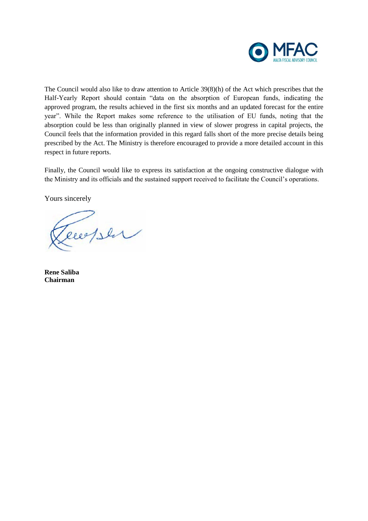

The Council would also like to draw attention to Article 39(8)(h) of the Act which prescribes that the Half-Yearly Report should contain "data on the absorption of European funds, indicating the approved program, the results achieved in the first six months and an updated forecast for the entire year". While the Report makes some reference to the utilisation of EU funds, noting that the absorption could be less than originally planned in view of slower progress in capital projects, the Council feels that the information provided in this regard falls short of the more precise details being prescribed by the Act. The Ministry is therefore encouraged to provide a more detailed account in this respect in future reports.

Finally, the Council would like to express its satisfaction at the ongoing constructive dialogue with the Ministry and its officials and the sustained support received to facilitate the Council's operations.

Yours sincerely

Tecepser

**Rene Saliba Chairman**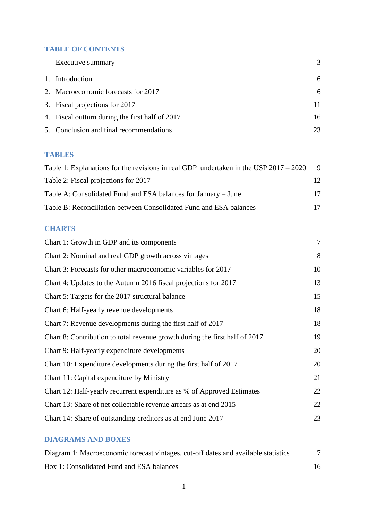## **TABLE OF CONTENTS**

| Executive summary                               | 3  |
|-------------------------------------------------|----|
| 1. Introduction                                 | 6  |
| 2. Macroeconomic forecasts for 2017             | 6  |
| 3. Fiscal projections for 2017                  | 11 |
| 4. Fiscal outturn during the first half of 2017 | 16 |
| 5. Conclusion and final recommendations         | 23 |

## **TABLES**

| Table 1: Explanations for the revisions in real GDP undertaken in the USP $2017 - 2020$ | -9 |
|-----------------------------------------------------------------------------------------|----|
| Table 2: Fiscal projections for 2017                                                    | 12 |
| Table A: Consolidated Fund and ESA balances for January – June                          | 17 |
| Table B: Reconciliation between Consolidated Fund and ESA balances                      | 17 |

# **CHARTS**

| Chart 1: Growth in GDP and its components                                   | $\overline{7}$ |
|-----------------------------------------------------------------------------|----------------|
| Chart 2: Nominal and real GDP growth across vintages                        | 8              |
| Chart 3: Forecasts for other macroeconomic variables for 2017               | 10             |
| Chart 4: Updates to the Autumn 2016 fiscal projections for 2017             | 13             |
| Chart 5: Targets for the 2017 structural balance                            | 15             |
| Chart 6: Half-yearly revenue developments                                   | 18             |
| Chart 7: Revenue developments during the first half of 2017                 | 18             |
| Chart 8: Contribution to total revenue growth during the first half of 2017 | 19             |
| Chart 9: Half-yearly expenditure developments                               | 20             |
| Chart 10: Expenditure developments during the first half of 2017            | 20             |
| Chart 11: Capital expenditure by Ministry                                   | 21             |
| Chart 12: Half-yearly recurrent expenditure as % of Approved Estimates      | 22             |
| Chart 13: Share of net collectable revenue arrears as at end 2015           | 22             |
| Chart 14: Share of outstanding creditors as at end June 2017                | 23             |

# **DIAGRAMS AND BOXES**

| Diagram 1: Macroeconomic forecast vintages, cut-off dates and available statistics |  |
|------------------------------------------------------------------------------------|--|
| Box 1: Consolidated Fund and ESA balances                                          |  |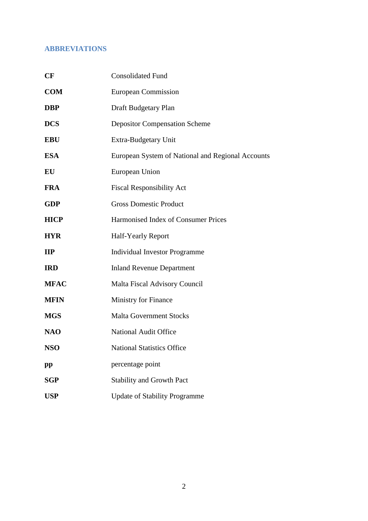# **ABBREVIATIONS**

| CF           | <b>Consolidated Fund</b>                          |
|--------------|---------------------------------------------------|
| <b>COM</b>   | <b>European Commission</b>                        |
| <b>DBP</b>   | Draft Budgetary Plan                              |
| <b>DCS</b>   | <b>Depositor Compensation Scheme</b>              |
| <b>EBU</b>   | Extra-Budgetary Unit                              |
| <b>ESA</b>   | European System of National and Regional Accounts |
| EU           | European Union                                    |
| <b>FRA</b>   | <b>Fiscal Responsibility Act</b>                  |
| <b>GDP</b>   | <b>Gross Domestic Product</b>                     |
| <b>HICP</b>  | Harmonised Index of Consumer Prices               |
| <b>HYR</b>   | <b>Half-Yearly Report</b>                         |
| $\mathbf{H}$ | <b>Individual Investor Programme</b>              |
| <b>IRD</b>   | <b>Inland Revenue Department</b>                  |
| <b>MFAC</b>  | <b>Malta Fiscal Advisory Council</b>              |
| <b>MFIN</b>  | <b>Ministry for Finance</b>                       |
| <b>MGS</b>   | <b>Malta Government Stocks</b>                    |
| <b>NAO</b>   | <b>National Audit Office</b>                      |
| <b>NSO</b>   | <b>National Statistics Office</b>                 |
| $\mathbf{p}$ | percentage point                                  |
| <b>SGP</b>   | Stability and Growth Pact                         |
| <b>USP</b>   | <b>Update of Stability Programme</b>              |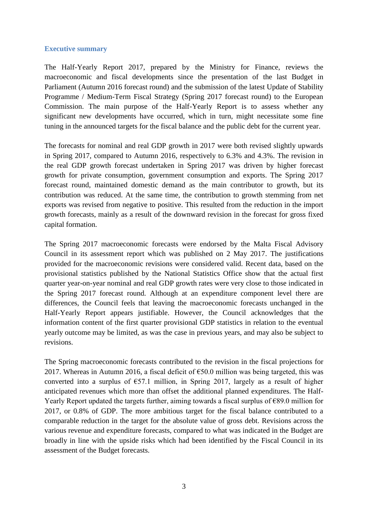### **Executive summary**

The Half-Yearly Report 2017, prepared by the Ministry for Finance, reviews the macroeconomic and fiscal developments since the presentation of the last Budget in Parliament (Autumn 2016 forecast round) and the submission of the latest Update of Stability Programme / Medium-Term Fiscal Strategy (Spring 2017 forecast round) to the European Commission. The main purpose of the Half-Yearly Report is to assess whether any significant new developments have occurred, which in turn, might necessitate some fine tuning in the announced targets for the fiscal balance and the public debt for the current year.

The forecasts for nominal and real GDP growth in 2017 were both revised slightly upwards in Spring 2017, compared to Autumn 2016, respectively to 6.3% and 4.3%. The revision in the real GDP growth forecast undertaken in Spring 2017 was driven by higher forecast growth for private consumption, government consumption and exports. The Spring 2017 forecast round, maintained domestic demand as the main contributor to growth, but its contribution was reduced. At the same time, the contribution to growth stemming from net exports was revised from negative to positive. This resulted from the reduction in the import growth forecasts, mainly as a result of the downward revision in the forecast for gross fixed capital formation.

The Spring 2017 macroeconomic forecasts were endorsed by the Malta Fiscal Advisory Council in its assessment report which was published on 2 May 2017. The justifications provided for the macroeconomic revisions were considered valid. Recent data, based on the provisional statistics published by the National Statistics Office show that the actual first quarter year-on-year nominal and real GDP growth rates were very close to those indicated in the Spring 2017 forecast round. Although at an expenditure component level there are differences, the Council feels that leaving the macroeconomic forecasts unchanged in the Half-Yearly Report appears justifiable. However, the Council acknowledges that the information content of the first quarter provisional GDP statistics in relation to the eventual yearly outcome may be limited, as was the case in previous years, and may also be subject to revisions.

The Spring macroeconomic forecasts contributed to the revision in the fiscal projections for 2017. Whereas in Autumn 2016, a fiscal deficit of  $\epsilon$ 50.0 million was being targeted, this was converted into a surplus of  $\epsilon$ 57.1 million, in Spring 2017, largely as a result of higher anticipated revenues which more than offset the additional planned expenditures. The Half-Yearly Report updated the targets further, aiming towards a fiscal surplus of €89.0 million for 2017, or 0.8% of GDP. The more ambitious target for the fiscal balance contributed to a comparable reduction in the target for the absolute value of gross debt. Revisions across the various revenue and expenditure forecasts, compared to what was indicated in the Budget are broadly in line with the upside risks which had been identified by the Fiscal Council in its assessment of the Budget forecasts.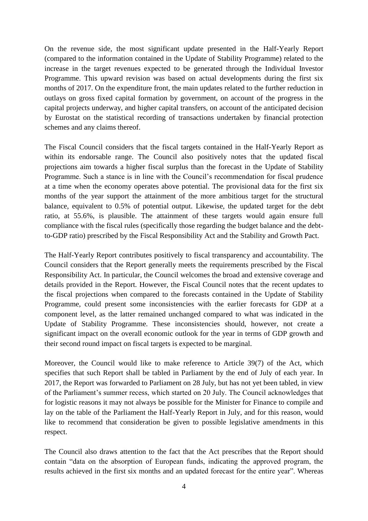On the revenue side, the most significant update presented in the Half-Yearly Report (compared to the information contained in the Update of Stability Programme) related to the increase in the target revenues expected to be generated through the Individual Investor Programme. This upward revision was based on actual developments during the first six months of 2017. On the expenditure front, the main updates related to the further reduction in outlays on gross fixed capital formation by government, on account of the progress in the capital projects underway, and higher capital transfers, on account of the anticipated decision by Eurostat on the statistical recording of transactions undertaken by financial protection schemes and any claims thereof.

The Fiscal Council considers that the fiscal targets contained in the Half-Yearly Report as within its endorsable range. The Council also positively notes that the updated fiscal projections aim towards a higher fiscal surplus than the forecast in the Update of Stability Programme. Such a stance is in line with the Council's recommendation for fiscal prudence at a time when the economy operates above potential. The provisional data for the first six months of the year support the attainment of the more ambitious target for the structural balance, equivalent to 0.5% of potential output. Likewise, the updated target for the debt ratio, at 55.6%, is plausible. The attainment of these targets would again ensure full compliance with the fiscal rules (specifically those regarding the budget balance and the debtto-GDP ratio) prescribed by the Fiscal Responsibility Act and the Stability and Growth Pact.

The Half-Yearly Report contributes positively to fiscal transparency and accountability. The Council considers that the Report generally meets the requirements prescribed by the Fiscal Responsibility Act. In particular, the Council welcomes the broad and extensive coverage and details provided in the Report. However, the Fiscal Council notes that the recent updates to the fiscal projections when compared to the forecasts contained in the Update of Stability Programme, could present some inconsistencies with the earlier forecasts for GDP at a component level, as the latter remained unchanged compared to what was indicated in the Update of Stability Programme. These inconsistencies should, however, not create a significant impact on the overall economic outlook for the year in terms of GDP growth and their second round impact on fiscal targets is expected to be marginal.

Moreover, the Council would like to make reference to Article 39(7) of the Act, which specifies that such Report shall be tabled in Parliament by the end of July of each year. In 2017, the Report was forwarded to Parliament on 28 July, but has not yet been tabled, in view of the Parliament's summer recess, which started on 20 July. The Council acknowledges that for logistic reasons it may not always be possible for the Minister for Finance to compile and lay on the table of the Parliament the Half-Yearly Report in July, and for this reason, would like to recommend that consideration be given to possible legislative amendments in this respect.

The Council also draws attention to the fact that the Act prescribes that the Report should contain "data on the absorption of European funds, indicating the approved program, the results achieved in the first six months and an updated forecast for the entire year". Whereas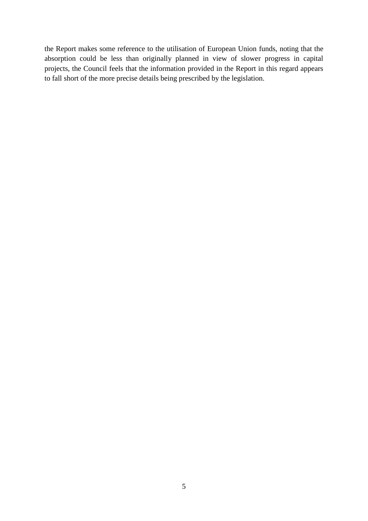the Report makes some reference to the utilisation of European Union funds, noting that the absorption could be less than originally planned in view of slower progress in capital projects, the Council feels that the information provided in the Report in this regard appears to fall short of the more precise details being prescribed by the legislation.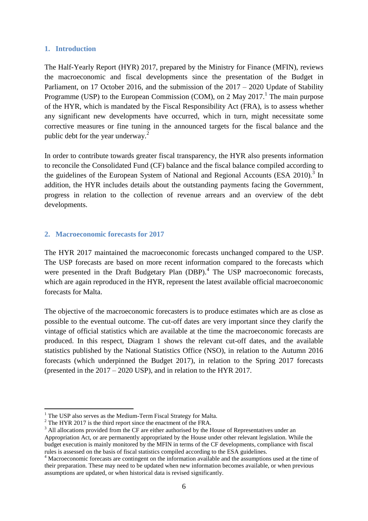#### **1. Introduction**

The Half-Yearly Report (HYR) 2017, prepared by the Ministry for Finance (MFIN), reviews the macroeconomic and fiscal developments since the presentation of the Budget in Parliament, on 17 October 2016, and the submission of the 2017 – 2020 Update of Stability Programme (USP) to the European Commission (COM), on 2 May 2017.<sup>1</sup> The main purpose of the HYR, which is mandated by the Fiscal Responsibility Act (FRA), is to assess whether any significant new developments have occurred, which in turn, might necessitate some corrective measures or fine tuning in the announced targets for the fiscal balance and the public debt for the year underway.<sup>2</sup>

In order to contribute towards greater fiscal transparency, the HYR also presents information to reconcile the Consolidated Fund (CF) balance and the fiscal balance compiled according to the guidelines of the European System of National and Regional Accounts (ESA 2010).<sup>3</sup> In addition, the HYR includes details about the outstanding payments facing the Government, progress in relation to the collection of revenue arrears and an overview of the debt developments.

## **2. Macroeconomic forecasts for 2017**

The HYR 2017 maintained the macroeconomic forecasts unchanged compared to the USP. The USP forecasts are based on more recent information compared to the forecasts which were presented in the Draft Budgetary Plan (DBP).<sup>4</sup> The USP macroeconomic forecasts, which are again reproduced in the HYR, represent the latest available official macroeconomic forecasts for Malta.

The objective of the macroeconomic forecasters is to produce estimates which are as close as possible to the eventual outcome. The cut-off dates are very important since they clarify the vintage of official statistics which are available at the time the macroeconomic forecasts are produced. In this respect, Diagram 1 shows the relevant cut-off dates, and the available statistics published by the National Statistics Office (NSO), in relation to the Autumn 2016 forecasts (which underpinned the Budget 2017), in relation to the Spring 2017 forecasts (presented in the 2017 – 2020 USP), and in relation to the HYR 2017.

<u>.</u>

 $1$  The USP also serves as the Medium-Term Fiscal Strategy for Malta.

<sup>&</sup>lt;sup>2</sup> The HYR 2017 is the third report since the enactment of the FRA.

<sup>&</sup>lt;sup>3</sup> All allocations provided from the CF are either authorised by the House of Representatives under an Appropriation Act, or are permanently appropriated by the House under other relevant legislation. While the budget execution is mainly monitored by the MFIN in terms of the CF developments, compliance with fiscal rules is assessed on the basis of fiscal statistics compiled according to the ESA guidelines.

<sup>&</sup>lt;sup>4</sup> Macroeconomic forecasts are contingent on the information available and the assumptions used at the time of their preparation. These may need to be updated when new information becomes available, or when previous assumptions are updated, or when historical data is revised significantly.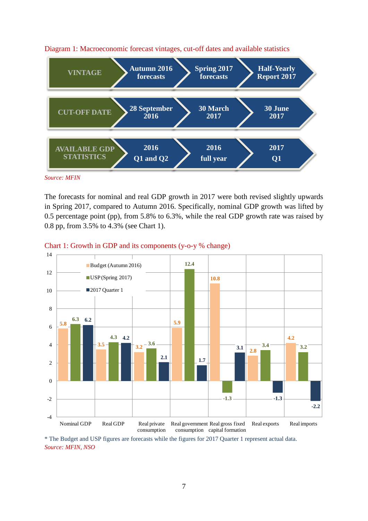

#### Diagram 1: Macroeconomic forecast vintages, cut-off dates and available statistics

The forecasts for nominal and real GDP growth in 2017 were both revised slightly upwards in Spring 2017, compared to Autumn 2016. Specifically, nominal GDP growth was lifted by 0.5 percentage point (pp), from 5.8% to 6.3%, while the real GDP growth rate was raised by 0.8 pp, from 3.5% to 4.3% (see Chart 1).

## Chart 1: Growth in GDP and its components (y-o-y % change)



\* The Budget and USP figures are forecasts while the figures for 2017 Quarter 1 represent actual data. *Source: MFIN, NSO*

*Source: MFIN*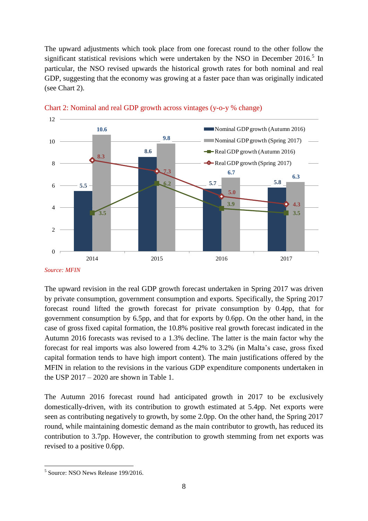The upward adjustments which took place from one forecast round to the other follow the significant statistical revisions which were undertaken by the NSO in December  $2016$ <sup>5</sup> In particular, the NSO revised upwards the historical growth rates for both nominal and real GDP, suggesting that the economy was growing at a faster pace than was originally indicated (see Chart 2).





The upward revision in the real GDP growth forecast undertaken in Spring 2017 was driven by private consumption, government consumption and exports. Specifically, the Spring 2017 forecast round lifted the growth forecast for private consumption by 0.4pp, that for government consumption by 6.5pp, and that for exports by 0.6pp. On the other hand, in the case of gross fixed capital formation, the 10.8% positive real growth forecast indicated in the Autumn 2016 forecasts was revised to a 1.3% decline. The latter is the main factor why the forecast for real imports was also lowered from 4.2% to 3.2% (in Malta's case, gross fixed capital formation tends to have high import content). The main justifications offered by the MFIN in relation to the revisions in the various GDP expenditure components undertaken in the USP  $2017 - 2020$  are shown in Table 1.

The Autumn 2016 forecast round had anticipated growth in 2017 to be exclusively domestically-driven, with its contribution to growth estimated at 5.4pp. Net exports were seen as contributing negatively to growth, by some 2.0pp. On the other hand, the Spring 2017 round, while maintaining domestic demand as the main contributor to growth, has reduced its contribution to 3.7pp. However, the contribution to growth stemming from net exports was revised to a positive 0.6pp.

*Source: MFIN*

 5 Source: NSO News Release 199/2016.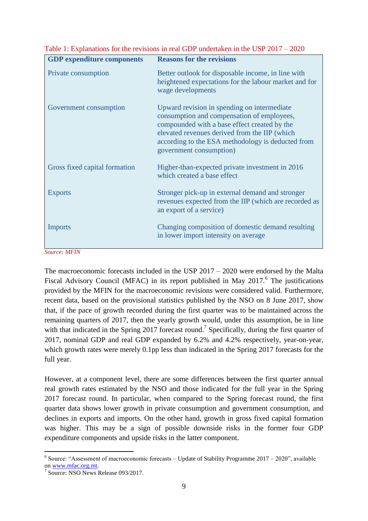| <b>GDP</b> expenditure components | <b>Reasons for the revisions</b>                                                                                                                                                                                                                                           |
|-----------------------------------|----------------------------------------------------------------------------------------------------------------------------------------------------------------------------------------------------------------------------------------------------------------------------|
| Private consumption               | Better outlook for disposable income, in line with<br>heightened expectations for the labour market and for<br>wage developments                                                                                                                                           |
| Government consumption            | Upward revision in spending on intermediate<br>consumption and compensation of employees,<br>compounded with a base effect created by the<br>elevated revenues derived from the IIP (which<br>according to the ESA methodology is deducted from<br>government consumption) |
| Gross fixed capital formation     | Higher-than-expected private investment in 2016<br>which created a base effect                                                                                                                                                                                             |
| <b>Exports</b>                    | Stronger pick-up in external demand and stronger<br>revenues expected from the IIP (which are recorded as<br>an export of a service)                                                                                                                                       |
| <b>Imports</b>                    | Changing composition of domestic demand resulting<br>in lower import intensity on average                                                                                                                                                                                  |

Table 1: Explanations for the revisions in real GDP undertaken in the USP 2017 – 2020

*Source: MFIN*

The macroeconomic forecasts included in the USP 2017 – 2020 were endorsed by the Malta Fiscal Advisory Council (MFAC) in its report published in May  $2017$ .<sup>6</sup> The justifications provided by the MFIN for the macroeconomic revisions were considered valid. Furthermore, recent data, based on the provisional statistics published by the NSO on 8 June 2017, show that, if the pace of growth recorded during the first quarter was to be maintained across the remaining quarters of 2017, then the yearly growth would, under this assumption, be in line with that indicated in the Spring 2017 forecast round.<sup>7</sup> Specifically, during the first quarter of 2017, nominal GDP and real GDP expanded by 6.2% and 4.2% respectively, year-on-year, which growth rates were merely 0.1pp less than indicated in the Spring 2017 forecasts for the full year.

However, at a component level, there are some differences between the first quarter annual real growth rates estimated by the NSO and those indicated for the full year in the Spring 2017 forecast round. In particular, when compared to the Spring forecast round, the first quarter data shows lower growth in private consumption and government consumption, and declines in exports and imports. On the other hand, growth in gross fixed capital formation was higher. This may be a sign of possible downside risks in the former four GDP expenditure components and upside risks in the latter component.

1

 $6$  Source: "Assessment of macroeconomic forecasts – Update of Stability Programme 2017 – 2020", available o[n www.mfac.org.mt.](http://www.mfac.org.mt/) 

<sup>7</sup> Source: NSO News Release 093/2017.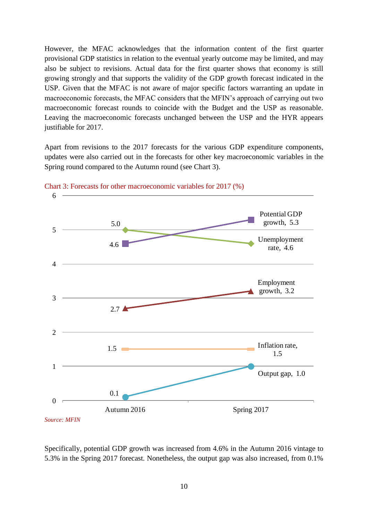However, the MFAC acknowledges that the information content of the first quarter provisional GDP statistics in relation to the eventual yearly outcome may be limited, and may also be subject to revisions. Actual data for the first quarter shows that economy is still growing strongly and that supports the validity of the GDP growth forecast indicated in the USP. Given that the MFAC is not aware of major specific factors warranting an update in macroeconomic forecasts, the MFAC considers that the MFIN's approach of carrying out two macroeconomic forecast rounds to coincide with the Budget and the USP as reasonable. Leaving the macroeconomic forecasts unchanged between the USP and the HYR appears justifiable for 2017.

Apart from revisions to the 2017 forecasts for the various GDP expenditure components, updates were also carried out in the forecasts for other key macroeconomic variables in the Spring round compared to the Autumn round (see Chart 3).





Specifically, potential GDP growth was increased from 4.6% in the Autumn 2016 vintage to 5.3% in the Spring 2017 forecast. Nonetheless, the output gap was also increased, from 0.1%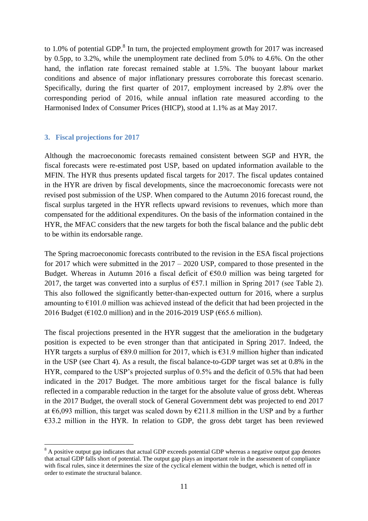to 1.0% of potential GDP. $^{8}$  In turn, the projected employment growth for 2017 was increased by 0.5pp, to 3.2%, while the unemployment rate declined from 5.0% to 4.6%. On the other hand, the inflation rate forecast remained stable at 1.5%. The buoyant labour market conditions and absence of major inflationary pressures corroborate this forecast scenario. Specifically, during the first quarter of 2017, employment increased by 2.8% over the corresponding period of 2016, while annual inflation rate measured according to the Harmonised Index of Consumer Prices (HICP), stood at 1.1% as at May 2017.

## **3. Fiscal projections for 2017**

1

Although the macroeconomic forecasts remained consistent between SGP and HYR, the fiscal forecasts were re-estimated post USP, based on updated information available to the MFIN. The HYR thus presents updated fiscal targets for 2017. The fiscal updates contained in the HYR are driven by fiscal developments, since the macroeconomic forecasts were not revised post submission of the USP. When compared to the Autumn 2016 forecast round, the fiscal surplus targeted in the HYR reflects upward revisions to revenues, which more than compensated for the additional expenditures. On the basis of the information contained in the HYR, the MFAC considers that the new targets for both the fiscal balance and the public debt to be within its endorsable range.

The Spring macroeconomic forecasts contributed to the revision in the ESA fiscal projections for 2017 which were submitted in the 2017 – 2020 USP, compared to those presented in the Budget. Whereas in Autumn 2016 a fiscal deficit of  $\epsilon$ 50.0 million was being targeted for 2017, the target was converted into a surplus of  $\epsilon$ 57.1 million in Spring 2017 (see Table 2). This also followed the significantly better-than-expected outturn for 2016, where a surplus amounting to  $E101.0$  million was achieved instead of the deficit that had been projected in the 2016 Budget ( $\epsilon$ 102.0 million) and in the 2016-2019 USP ( $\epsilon$ 65.6 million).

The fiscal projections presented in the HYR suggest that the amelioration in the budgetary position is expected to be even stronger than that anticipated in Spring 2017. Indeed, the HYR targets a surplus of  $\epsilon$ 89.0 million for 2017, which is  $\epsilon$ 31.9 million higher than indicated in the USP (see Chart 4). As a result, the fiscal balance-to-GDP target was set at 0.8% in the HYR, compared to the USP's projected surplus of 0.5% and the deficit of 0.5% that had been indicated in the 2017 Budget. The more ambitious target for the fiscal balance is fully reflected in a comparable reduction in the target for the absolute value of gross debt. Whereas in the 2017 Budget, the overall stock of General Government debt was projected to end 2017 at  $\epsilon$ 6,093 million, this target was scaled down by  $\epsilon$ 211.8 million in the USP and by a further €33.2 million in the HYR. In relation to GDP, the gross debt target has been reviewed

<sup>&</sup>lt;sup>8</sup> A positive output gap indicates that actual GDP exceeds potential GDP whereas a negative output gap denotes that actual GDP falls short of potential. The output gap plays an important role in the assessment of compliance with fiscal rules, since it determines the size of the cyclical element within the budget, which is netted off in order to estimate the structural balance.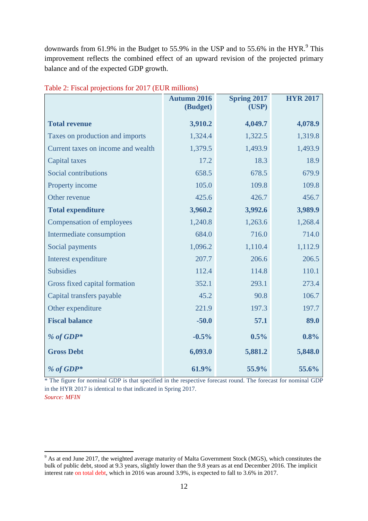downwards from 61.9% in the Budget to 55.9% in the USP and to 55.6% in the HYR.<sup>9</sup> This improvement reflects the combined effect of an upward revision of the projected primary balance and of the expected GDP growth.

|                                    | <b>Autumn 2016</b><br>(Budget) | <b>Spring 2017</b><br>(USP) | <b>HYR 2017</b> |
|------------------------------------|--------------------------------|-----------------------------|-----------------|
| <b>Total revenue</b>               | 3,910.2                        | 4,049.7                     | 4,078.9         |
| Taxes on production and imports    | 1,324.4                        | 1,322.5                     | 1,319.8         |
| Current taxes on income and wealth | 1,379.5                        | 1,493.9                     | 1,493.9         |
| <b>Capital taxes</b>               | 17.2                           | 18.3                        | 18.9            |
| Social contributions               | 658.5                          | 678.5                       | 679.9           |
| Property income                    | 105.0                          | 109.8                       | 109.8           |
| Other revenue                      | 425.6                          | 426.7                       | 456.7           |
| <b>Total expenditure</b>           | 3,960.2                        | 3,992.6                     | 3,989.9         |
| Compensation of employees          | 1,240.8                        | 1,263.6                     | 1,268.4         |
| Intermediate consumption           | 684.0                          | 716.0                       | 714.0           |
| Social payments                    | 1,096.2                        | 1,110.4                     | 1,112.9         |
| Interest expenditure               | 207.7                          | 206.6                       | 206.5           |
| <b>Subsidies</b>                   | 112.4                          | 114.8                       | 110.1           |
| Gross fixed capital formation      | 352.1                          | 293.1                       | 273.4           |
| Capital transfers payable          | 45.2                           | 90.8                        | 106.7           |
| Other expenditure                  | 221.9                          | 197.3                       | 197.7           |
| <b>Fiscal balance</b>              | $-50.0$                        | 57.1                        | 89.0            |
| % of GDP*                          | $-0.5%$                        | 0.5%                        | 0.8%            |
| <b>Gross Debt</b>                  | 6,093.0                        | 5,881.2                     | 5,848.0         |
| % of GDP*                          | 61.9%                          | 55.9%                       | 55.6%           |

Table 2: Fiscal projections for 2017 (EUR millions)

\* The figure for nominal GDP is that specified in the respective forecast round. The forecast for nominal GDP in the HYR 2017 is identical to that indicated in Spring 2017. *Source: MFIN*

1

 $9<sup>9</sup>$  As at end June 2017, the weighted average maturity of Malta Government Stock (MGS), which constitutes the bulk of public debt, stood at 9.3 years, slightly lower than the 9.8 years as at end December 2016. The implicit interest rate on total debt, which in 2016 was around 3.9%, is expected to fall to 3.6% in 2017.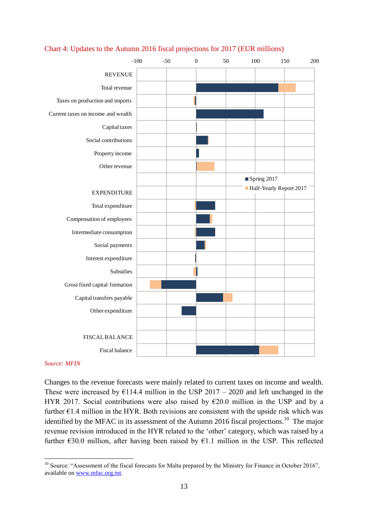

## Chart 4: Updates to the Autumn 2016 fiscal projections for 2017 (EUR millions)

#### *Source: MFIN*

Changes to the revenue forecasts were mainly related to current taxes on income and wealth. These were increased by  $E114.4$  million in the USP 2017 – 2020 and left unchanged in the HYR 2017. Social contributions were also raised by  $\epsilon$ 20.0 million in the USP and by a further  $E1.4$  million in the HYR. Both revisions are consistent with the upside risk which was identified by the MFAC in its assessment of the Autumn 2016 fiscal projections.<sup>10</sup> The major revenue revision introduced in the HYR related to the 'other' category, which was raised by a further  $\epsilon$ 30.0 million, after having been raised by  $\epsilon$ 1.1 million in the USP. This reflected

<sup>&</sup>lt;u>.</u>  $10$  Source: "Assessment of the fiscal forecasts for Malta prepared by the Ministry for Finance in October 2016", available on [www.mfac.org.mt.](http://www.mfac.org.mt/)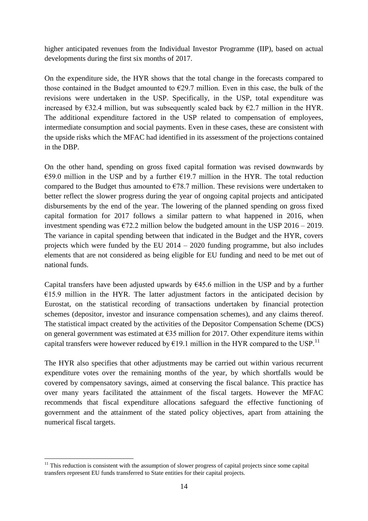higher anticipated revenues from the Individual Investor Programme (IIP), based on actual developments during the first six months of 2017.

On the expenditure side, the HYR shows that the total change in the forecasts compared to those contained in the Budget amounted to  $\epsilon$ 29.7 million. Even in this case, the bulk of the revisions were undertaken in the USP. Specifically, in the USP, total expenditure was increased by  $\epsilon$ 32.4 million, but was subsequently scaled back by  $\epsilon$ 2.7 million in the HYR. The additional expenditure factored in the USP related to compensation of employees, intermediate consumption and social payments. Even in these cases, these are consistent with the upside risks which the MFAC had identified in its assessment of the projections contained in the DBP.

On the other hand, spending on gross fixed capital formation was revised downwards by €59.0 million in the USP and by a further  $€19.7$  million in the HYR. The total reduction compared to the Budget thus amounted to  $\epsilon$ 78.7 million. These revisions were undertaken to better reflect the slower progress during the year of ongoing capital projects and anticipated disbursements by the end of the year. The lowering of the planned spending on gross fixed capital formation for 2017 follows a similar pattern to what happened in 2016, when investment spending was  $\epsilon$ 72.2 million below the budgeted amount in the USP 2016 – 2019. The variance in capital spending between that indicated in the Budget and the HYR, covers projects which were funded by the EU 2014 – 2020 funding programme, but also includes elements that are not considered as being eligible for EU funding and need to be met out of national funds.

Capital transfers have been adjusted upwards by  $645.6$  million in the USP and by a further  $E15.9$  million in the HYR. The latter adjustment factors in the anticipated decision by Eurostat, on the statistical recording of transactions undertaken by financial protection schemes (depositor, investor and insurance compensation schemes), and any claims thereof. The statistical impact created by the activities of the Depositor Compensation Scheme (DCS) on general government was estimated at €35 million for 2017. Other expenditure items within capital transfers were however reduced by  $E19.1$  million in the HYR compared to the USP.<sup>11</sup>

The HYR also specifies that other adjustments may be carried out within various recurrent expenditure votes over the remaining months of the year, by which shortfalls would be covered by compensatory savings, aimed at conserving the fiscal balance. This practice has over many years facilitated the attainment of the fiscal targets. However the MFAC recommends that fiscal expenditure allocations safeguard the effective functioning of government and the attainment of the stated policy objectives, apart from attaining the numerical fiscal targets.

<u>.</u>

 $11$  This reduction is consistent with the assumption of slower progress of capital projects since some capital transfers represent EU funds transferred to State entities for their capital projects.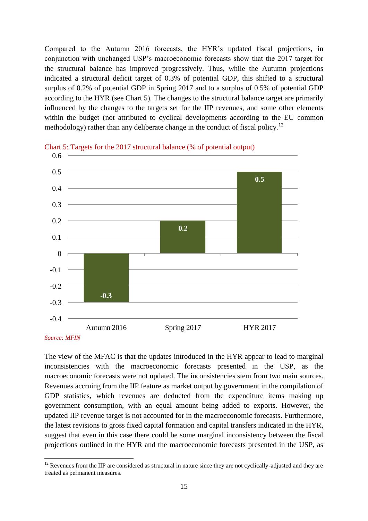Compared to the Autumn 2016 forecasts, the HYR's updated fiscal projections, in conjunction with unchanged USP's macroeconomic forecasts show that the 2017 target for the structural balance has improved progressively. Thus, while the Autumn projections indicated a structural deficit target of 0.3% of potential GDP, this shifted to a structural surplus of 0.2% of potential GDP in Spring 2017 and to a surplus of 0.5% of potential GDP according to the HYR (see Chart 5). The changes to the structural balance target are primarily influenced by the changes to the targets set for the IIP revenues, and some other elements within the budget (not attributed to cyclical developments according to the EU common methodology) rather than any deliberate change in the conduct of fiscal policy.<sup>12</sup>





The view of the MFAC is that the updates introduced in the HYR appear to lead to marginal inconsistencies with the macroeconomic forecasts presented in the USP, as the macroeconomic forecasts were not updated. The inconsistencies stem from two main sources. Revenues accruing from the IIP feature as market output by government in the compilation of GDP statistics, which revenues are deducted from the expenditure items making up government consumption, with an equal amount being added to exports. However, the updated IIP revenue target is not accounted for in the macroeconomic forecasts. Furthermore, the latest revisions to gross fixed capital formation and capital transfers indicated in the HYR, suggest that even in this case there could be some marginal inconsistency between the fiscal projections outlined in the HYR and the macroeconomic forecasts presented in the USP, as

*Source: MFIN*

<sup>&</sup>lt;u>.</u>  $12$  Revenues from the IIP are considered as structural in nature since they are not cyclically-adjusted and they are treated as permanent measures.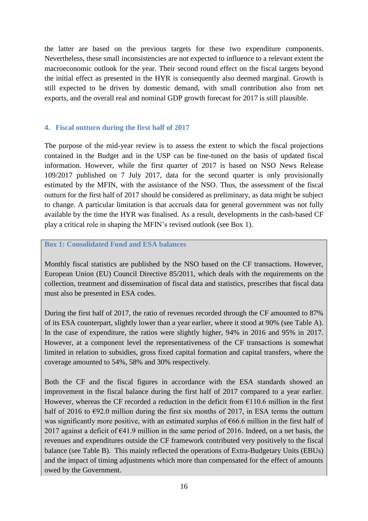the latter are based on the previous targets for these two expenditure components. Nevertheless, these small inconsistencies are not expected to influence to a relevant extent the macroeconomic outlook for the year. Their second round effect on the fiscal targets beyond the initial effect as presented in the HYR is consequently also deemed marginal. Growth is still expected to be driven by domestic demand, with small contribution also from net exports, and the overall real and nominal GDP growth forecast for 2017 is still plausible.

## **4. Fiscal outturn during the first half of 2017**

The purpose of the mid-year review is to assess the extent to which the fiscal projections contained in the Budget and in the USP can be fine-tuned on the basis of updated fiscal information. However, while the first quarter of 2017 is based on NSO News Release 109/2017 published on 7 July 2017, data for the second quarter is only provisionally estimated by the MFIN, with the assistance of the NSO. Thus, the assessment of the fiscal outturn for the first half of 2017 should be considered as preliminary, as data might be subject to change. A particular limitation is that accruals data for general government was not fully available by the time the HYR was finalised. As a result, developments in the cash-based CF play a critical role in shaping the MFIN's revised outlook (see Box 1).

## **Box 1: Consolidated Fund and ESA balances**

Monthly fiscal statistics are published by the NSO based on the CF transactions. However, European Union (EU) Council Directive 85/2011, which deals with the requirements on the collection, treatment and dissemination of fiscal data and statistics, prescribes that fiscal data must also be presented in ESA codes.

During the first half of 2017, the ratio of revenues recorded through the CF amounted to 87% of its ESA counterpart, slightly lower than a year earlier, where it stood at 90% (see Table A). In the case of expenditure, the ratios were slightly higher, 94% in 2016 and 95% in 2017. However, at a component level the representativeness of the CF transactions is somewhat limited in relation to subsidies, gross fixed capital formation and capital transfers, where the coverage amounted to 54%, 58% and 30% respectively.

Both the CF and the fiscal figures in accordance with the ESA standards showed an improvement in the fiscal balance during the first half of 2017 compared to a year earlier. However, whereas the CF recorded a reduction in the deficit from  $£110.6$  million in the first half of 2016 to  $\epsilon$ 92.0 million during the first six months of 2017, in ESA terms the outturn was significantly more positive, with an estimated surplus of €66.6 million in the first half of 2017 against a deficit of  $\epsilon$ 41.9 million in the same period of 2016. Indeed, on a net basis, the revenues and expenditures outside the CF framework contributed very positively to the fiscal balance (see Table B). This mainly reflected the operations of Extra-Budgetary Units (EBUs) and the impact of timing adjustments which more than compensated for the effect of amounts owed by the Government.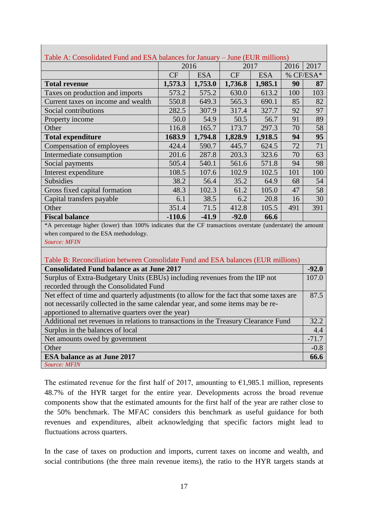| Table A: Consolidated Fund and ESA balances for January – June (EUR millions)                               |           |            |         |            |      |           |
|-------------------------------------------------------------------------------------------------------------|-----------|------------|---------|------------|------|-----------|
|                                                                                                             |           | 2016       |         | 2017       | 2016 | 2017      |
|                                                                                                             | <b>CF</b> | <b>ESA</b> | CF      | <b>ESA</b> |      | % CF/ESA* |
| <b>Total revenue</b>                                                                                        | 1,573.3   | 1,753.0    | 1,736.8 | 1,985.1    | 90   | 87        |
| Taxes on production and imports                                                                             | 573.2     | 575.2      | 630.0   | 613.2      | 100  | 103       |
| Current taxes on income and wealth                                                                          | 550.8     | 649.3      | 565.3   | 690.1      | 85   | 82        |
| Social contributions                                                                                        | 282.5     | 307.9      | 317.4   | 327.7      | 92   | 97        |
| Property income                                                                                             | 50.0      | 54.9       | 50.5    | 56.7       | 91   | 89        |
| Other                                                                                                       | 116.8     | 165.7      | 173.7   | 297.3      | 70   | 58        |
| <b>Total expenditure</b>                                                                                    | 1683.9    | 1,794.8    | 1,828.9 | 1,918.5    | 94   | 95        |
| Compensation of employees                                                                                   | 424.4     | 590.7      | 445.7   | 624.5      | 72   | 71        |
| Intermediate consumption                                                                                    | 201.6     | 287.8      | 203.3   | 323.6      | 70   | 63        |
| Social payments                                                                                             | 505.4     | 540.1      | 561.6   | 571.8      | 94   | 98        |
| Interest expenditure                                                                                        | 108.5     | 107.6      | 102.9   | 102.5      | 101  | 100       |
| <b>Subsidies</b>                                                                                            | 38.2      | 56.4       | 35.2    | 64.9       | 68   | 54        |
| Gross fixed capital formation                                                                               | 48.3      | 102.3      | 61.2    | 105.0      | 47   | 58        |
| Capital transfers payable                                                                                   | 6.1       | 38.5       | 6.2     | 20.8       | 16   | 30        |
| Other                                                                                                       | 351.4     | 71.5       | 412.8   | 105.5      | 491  | 391       |
| <b>Fiscal balance</b>                                                                                       | $-110.6$  | $-41.9$    | $-92.0$ | 66.6       |      |           |
| *A percentage higher (lower) than 100% indicates that the CF transactions overstate (understate) the amount |           |            |         |            |      |           |
| when compared to the ESA methodology.                                                                       |           |            |         |            |      |           |
| <b>Source: MFIN</b>                                                                                         |           |            |         |            |      |           |

| Table A: Consolidated Fund and ESA balances for January – June (EUR millions) |  |
|-------------------------------------------------------------------------------|--|
|                                                                               |  |

| Table B: Reconciliation between Consolidate Fund and ESA balances (EUR millions)        |         |
|-----------------------------------------------------------------------------------------|---------|
| <b>Consolidated Fund balance as at June 2017</b>                                        | $-92.0$ |
| Surplus of Extra-Budgetary Units (EBUs) including revenues from the IIP not             | 107.0   |
| recorded through the Consolidated Fund                                                  |         |
| Net effect of time and quarterly adjustments (to allow for the fact that some taxes are | 87.5    |
| not necessarily collected in the same calendar year, and some items may be re-          |         |
| apportioned to alternative quarters over the year)                                      |         |
| Additional net revenues in relations to transactions in the Treasury Clearance Fund     | 32.2    |
| Surplus in the balances of local                                                        | 4.4     |
| Net amounts owed by government                                                          | $-71.7$ |
| Other                                                                                   | $-0.8$  |
| <b>ESA balance as at June 2017</b>                                                      | 66.6    |
| <b>Source: MFIN</b>                                                                     |         |

The estimated revenue for the first half of 2017, amounting to  $\epsilon$ 1,985.1 million, represents 48.7% of the HYR target for the entire year. Developments across the broad revenue components show that the estimated amounts for the first half of the year are rather close to the 50% benchmark. The MFAC considers this benchmark as useful guidance for both revenues and expenditures, albeit acknowledging that specific factors might lead to fluctuations across quarters.

In the case of taxes on production and imports, current taxes on income and wealth, and social contributions (the three main revenue items), the ratio to the HYR targets stands at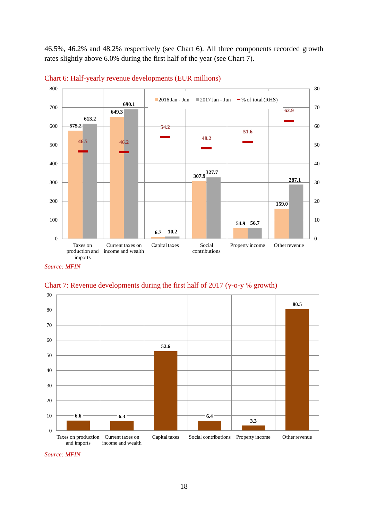46.5%, 46.2% and 48.2% respectively (see Chart 6). All three components recorded growth rates slightly above 6.0% during the first half of the year (see Chart 7).





*Source: MFIN*



Chart 7: Revenue developments during the first half of 2017 (y-o-y % growth)

*Source: MFIN*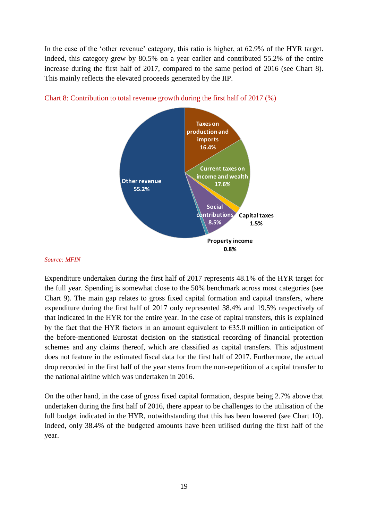In the case of the 'other revenue' category, this ratio is higher, at 62.9% of the HYR target. Indeed, this category grew by 80.5% on a year earlier and contributed 55.2% of the entire increase during the first half of 2017, compared to the same period of 2016 (see Chart 8). This mainly reflects the elevated proceeds generated by the IIP.



Chart 8: Contribution to total revenue growth during the first half of 2017 (%)

#### *Source: MFIN*

Expenditure undertaken during the first half of 2017 represents 48.1% of the HYR target for the full year. Spending is somewhat close to the 50% benchmark across most categories (see Chart 9). The main gap relates to gross fixed capital formation and capital transfers, where expenditure during the first half of 2017 only represented 38.4% and 19.5% respectively of that indicated in the HYR for the entire year. In the case of capital transfers, this is explained by the fact that the HYR factors in an amount equivalent to  $E$ 35.0 million in anticipation of the before-mentioned Eurostat decision on the statistical recording of financial protection schemes and any claims thereof, which are classified as capital transfers. This adjustment does not feature in the estimated fiscal data for the first half of 2017. Furthermore, the actual drop recorded in the first half of the year stems from the non-repetition of a capital transfer to the national airline which was undertaken in 2016.

On the other hand, in the case of gross fixed capital formation, despite being 2.7% above that undertaken during the first half of 2016, there appear to be challenges to the utilisation of the full budget indicated in the HYR, notwithstanding that this has been lowered (see Chart 10). Indeed, only 38.4% of the budgeted amounts have been utilised during the first half of the year.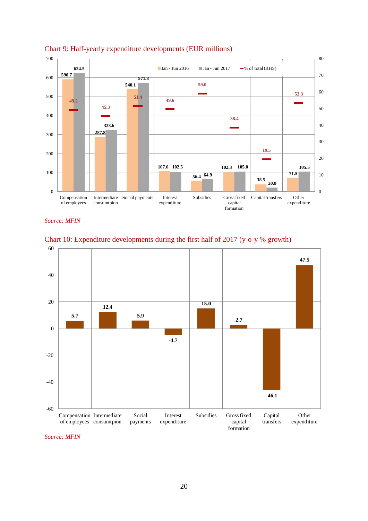

## Chart 9: Half-yearly expenditure developments (EUR millions)

*Source: MFIN*



Chart 10: Expenditure developments during the first half of 2017 (y-o-y % growth)

*Source: MFIN*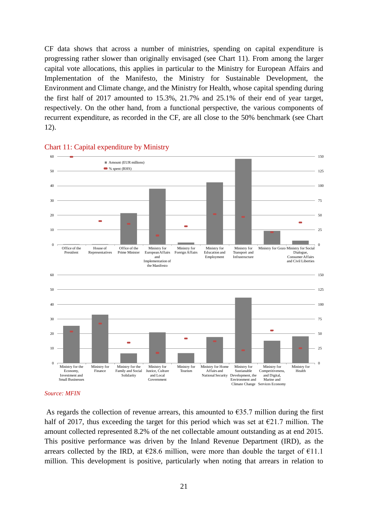CF data shows that across a number of ministries, spending on capital expenditure is progressing rather slower than originally envisaged (see Chart 11). From among the larger capital vote allocations, this applies in particular to the Ministry for European Affairs and Implementation of the Manifesto, the Ministry for Sustainable Development, the Environment and Climate change, and the Ministry for Health, whose capital spending during the first half of 2017 amounted to 15.3%, 21.7% and 25.1% of their end of year target, respectively. On the other hand, from a functional perspective, the various components of recurrent expenditure, as recorded in the CF, are all close to the 50% benchmark (see Chart 12).



#### Chart 11: Capital expenditure by Ministry

As regards the collection of revenue arrears, this amounted to  $\epsilon$ 35.7 million during the first half of 2017, thus exceeding the target for this period which was set at  $\epsilon$ 21.7 million. The amount collected represented 8.2% of the net collectable amount outstanding as at end 2015. This positive performance was driven by the Inland Revenue Department (IRD), as the arrears collected by the IRD, at  $\epsilon$ 28.6 million, were more than double the target of  $\epsilon$ 11.1 million. This development is positive, particularly when noting that arrears in relation to

*Source: MFIN*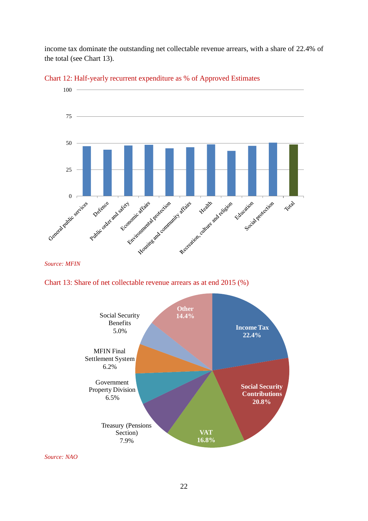income tax dominate the outstanding net collectable revenue arrears, with a share of 22.4% of the total (see Chart 13).



Chart 12: Half-yearly recurrent expenditure as % of Approved Estimates

*Source: MFIN*





*Source: NAO*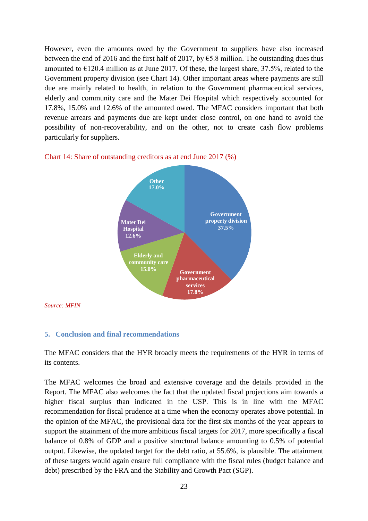However, even the amounts owed by the Government to suppliers have also increased between the end of 2016 and the first half of 2017, by  $\epsilon$ 5.8 million. The outstanding dues thus amounted to €120.4 million as at June 2017. Of these, the largest share, 37.5%, related to the Government property division (see Chart 14). Other important areas where payments are still due are mainly related to health, in relation to the Government pharmaceutical services, elderly and community care and the Mater Dei Hospital which respectively accounted for 17.8%, 15.0% and 12.6% of the amounted owed. The MFAC considers important that both revenue arrears and payments due are kept under close control, on one hand to avoid the possibility of non-recoverability, and on the other, not to create cash flow problems particularly for suppliers.



Chart 14: Share of outstanding creditors as at end June 2017 (%)

*Source: MFIN*

## **5. Conclusion and final recommendations**

The MFAC considers that the HYR broadly meets the requirements of the HYR in terms of its contents.

The MFAC welcomes the broad and extensive coverage and the details provided in the Report. The MFAC also welcomes the fact that the updated fiscal projections aim towards a higher fiscal surplus than indicated in the USP. This is in line with the MFAC recommendation for fiscal prudence at a time when the economy operates above potential. In the opinion of the MFAC, the provisional data for the first six months of the year appears to support the attainment of the more ambitious fiscal targets for 2017, more specifically a fiscal balance of 0.8% of GDP and a positive structural balance amounting to 0.5% of potential output. Likewise, the updated target for the debt ratio, at 55.6%, is plausible. The attainment of these targets would again ensure full compliance with the fiscal rules (budget balance and debt) prescribed by the FRA and the Stability and Growth Pact (SGP).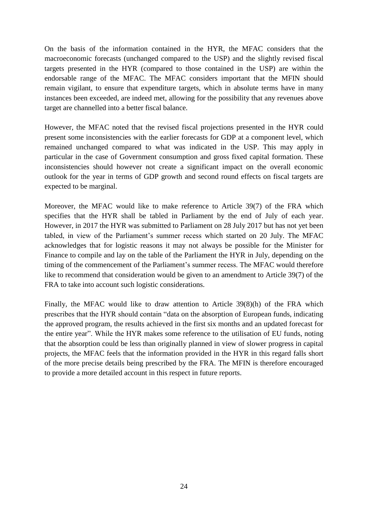On the basis of the information contained in the HYR, the MFAC considers that the macroeconomic forecasts (unchanged compared to the USP) and the slightly revised fiscal targets presented in the HYR (compared to those contained in the USP) are within the endorsable range of the MFAC. The MFAC considers important that the MFIN should remain vigilant, to ensure that expenditure targets, which in absolute terms have in many instances been exceeded, are indeed met, allowing for the possibility that any revenues above target are channelled into a better fiscal balance.

However, the MFAC noted that the revised fiscal projections presented in the HYR could present some inconsistencies with the earlier forecasts for GDP at a component level, which remained unchanged compared to what was indicated in the USP. This may apply in particular in the case of Government consumption and gross fixed capital formation. These inconsistencies should however not create a significant impact on the overall economic outlook for the year in terms of GDP growth and second round effects on fiscal targets are expected to be marginal.

Moreover, the MFAC would like to make reference to Article 39(7) of the FRA which specifies that the HYR shall be tabled in Parliament by the end of July of each year. However, in 2017 the HYR was submitted to Parliament on 28 July 2017 but has not yet been tabled, in view of the Parliament's summer recess which started on 20 July. The MFAC acknowledges that for logistic reasons it may not always be possible for the Minister for Finance to compile and lay on the table of the Parliament the HYR in July, depending on the timing of the commencement of the Parliament's summer recess. The MFAC would therefore like to recommend that consideration would be given to an amendment to Article 39(7) of the FRA to take into account such logistic considerations.

Finally, the MFAC would like to draw attention to Article 39(8)(h) of the FRA which prescribes that the HYR should contain "data on the absorption of European funds, indicating the approved program, the results achieved in the first six months and an updated forecast for the entire year". While the HYR makes some reference to the utilisation of EU funds, noting that the absorption could be less than originally planned in view of slower progress in capital projects, the MFAC feels that the information provided in the HYR in this regard falls short of the more precise details being prescribed by the FRA. The MFIN is therefore encouraged to provide a more detailed account in this respect in future reports.